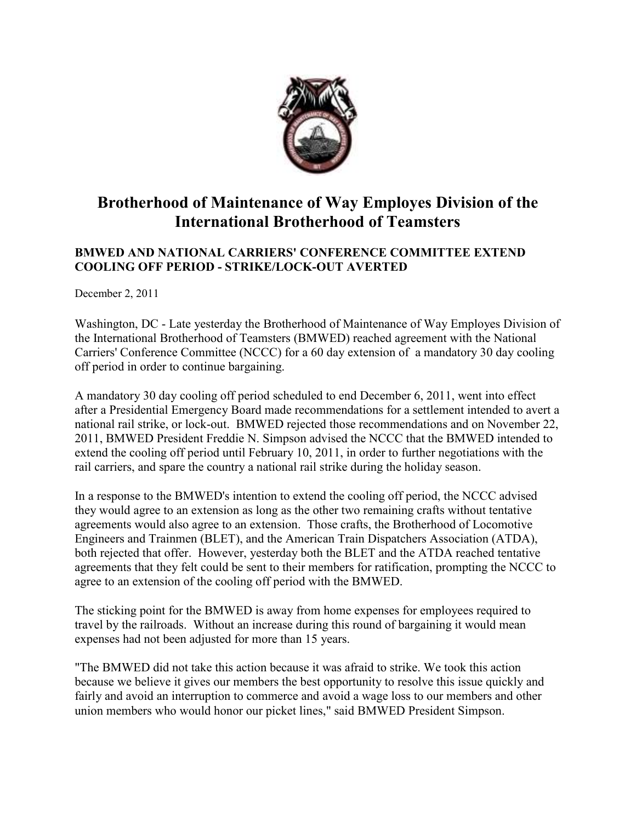

## **Brotherhood of Maintenance of Way Employes Division of the International Brotherhood of Teamsters**

## **BMWED AND NATIONAL CARRIERS' CONFERENCE COMMITTEE EXTEND COOLIG OFF PERIOD - STRIKE/LOCK-OUT AVERTED**

December 2, 2011

Washington, DC - Late yesterday the Brotherhood of Maintenance of Way Employes Division of the International Brotherhood of Teamsters (BMWED) reached agreement with the National Carriers' Conference Committee (NCCC) for a 60 day extension of a mandatory 30 day cooling off period in order to continue bargaining.

A mandatory 30 day cooling off period scheduled to end December 6, 2011, went into effect after a Presidential Emergency Board made recommendations for a settlement intended to avert a national rail strike, or lock-out. BMWED rejected those recommendations and on November 22, 2011, BMWED President Freddie N. Simpson advised the NCCC that the BMWED intended to extend the cooling off period until February 10, 2011, in order to further negotiations with the rail carriers, and spare the country a national rail strike during the holiday season.

In a response to the BMWED's intention to extend the cooling off period, the NCCC advised they would agree to an extension as long as the other two remaining crafts without tentative agreements would also agree to an extension. Those crafts, the Brotherhood of Locomotive Engineers and Trainmen (BLET), and the American Train Dispatchers Association (ATDA), both rejected that offer. However, yesterday both the BLET and the ATDA reached tentative agreements that they felt could be sent to their members for ratification, prompting the NCCC to agree to an extension of the cooling off period with the BMWED.

The sticking point for the BMWED is away from home expenses for employees required to travel by the railroads. Without an increase during this round of bargaining it would mean expenses had not been adjusted for more than 15 years.

"The BMWED did not take this action because it was afraid to strike. We took this action because we believe it gives our members the best opportunity to resolve this issue quickly and fairly and avoid an interruption to commerce and avoid a wage loss to our members and other union members who would honor our picket lines," said BMWED President Simpson.